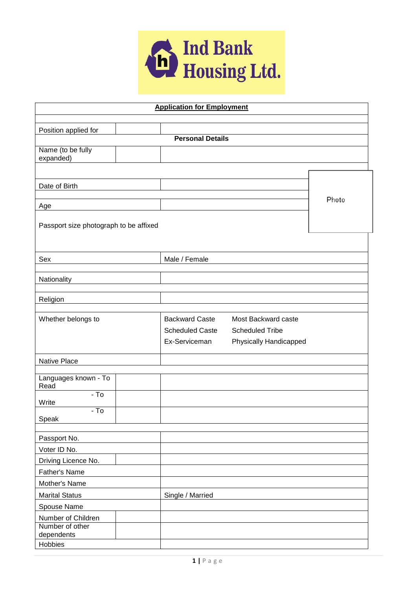

| <b>Application for Employment</b>         |               |                         |                        |       |  |
|-------------------------------------------|---------------|-------------------------|------------------------|-------|--|
|                                           |               |                         |                        |       |  |
| Position applied for                      |               |                         |                        |       |  |
|                                           |               | <b>Personal Details</b> |                        |       |  |
| Name (to be fully<br>expanded)            |               |                         |                        |       |  |
|                                           |               |                         |                        |       |  |
|                                           |               |                         |                        |       |  |
| Date of Birth                             |               |                         |                        |       |  |
|                                           |               |                         |                        | Photo |  |
| Age                                       |               |                         |                        |       |  |
|                                           |               |                         |                        |       |  |
| Passport size photograph to be affixed    |               |                         |                        |       |  |
|                                           |               |                         |                        |       |  |
| Sex                                       |               | Male / Female           |                        |       |  |
|                                           |               |                         |                        |       |  |
| Nationality                               |               |                         |                        |       |  |
|                                           |               |                         |                        |       |  |
| Religion                                  |               |                         |                        |       |  |
|                                           |               |                         |                        |       |  |
| Whether belongs to                        |               | <b>Backward Caste</b>   | Most Backward caste    |       |  |
|                                           |               | <b>Scheduled Caste</b>  | <b>Scheduled Tribe</b> |       |  |
|                                           |               | Ex-Serviceman           | Physically Handicapped |       |  |
|                                           |               |                         |                        |       |  |
| Native Place                              |               |                         |                        |       |  |
| Languages known - To                      |               |                         |                        |       |  |
| Read                                      |               |                         |                        |       |  |
| $-$ To<br>Write                           |               |                         |                        |       |  |
| $-$ To                                    |               |                         |                        |       |  |
| Speak                                     |               |                         |                        |       |  |
|                                           |               |                         |                        |       |  |
| Passport No.                              |               |                         |                        |       |  |
| Voter ID No.                              |               |                         |                        |       |  |
| Driving Licence No.                       |               |                         |                        |       |  |
| Father's Name                             |               |                         |                        |       |  |
|                                           | Mother's Name |                         |                        |       |  |
| <b>Marital Status</b><br>Single / Married |               |                         |                        |       |  |
| Spouse Name                               |               |                         |                        |       |  |
| Number of Children                        |               |                         |                        |       |  |
| Number of other<br>dependents             |               |                         |                        |       |  |
| Hobbies                                   |               |                         |                        |       |  |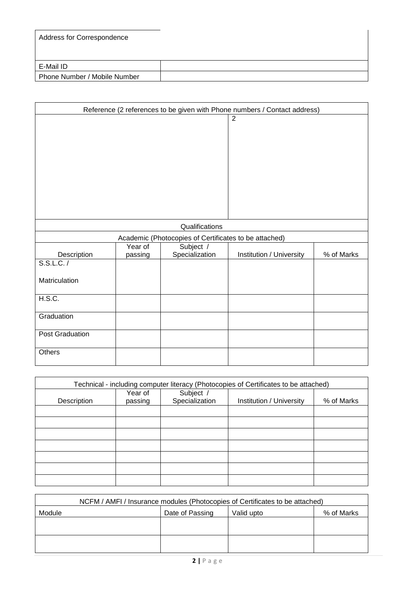| Address for Correspondence   |  |
|------------------------------|--|
| E-Mail ID                    |  |
| Phone Number / Mobile Number |  |

| Reference (2 references to be given with Phone numbers / Contact address) |         |                                                       |                          |            |
|---------------------------------------------------------------------------|---------|-------------------------------------------------------|--------------------------|------------|
|                                                                           |         |                                                       | $\overline{2}$           |            |
| Qualifications                                                            |         |                                                       |                          |            |
|                                                                           |         | Academic (Photocopies of Certificates to be attached) |                          |            |
|                                                                           | Year of | Subject /                                             |                          |            |
| Description<br>S.S.L.C. /                                                 | passing | Specialization                                        | Institution / University | % of Marks |
| Matriculation                                                             |         |                                                       |                          |            |
| H.S.C.                                                                    |         |                                                       |                          |            |
| Graduation                                                                |         |                                                       |                          |            |
| Post Graduation                                                           |         |                                                       |                          |            |
| Others                                                                    |         |                                                       |                          |            |

| Technical - including computer literacy (Photocopies of Certificates to be attached) |                    |                             |                          |            |
|--------------------------------------------------------------------------------------|--------------------|-----------------------------|--------------------------|------------|
| Description                                                                          | Year of<br>passing | Subject /<br>Specialization | Institution / University | % of Marks |
|                                                                                      |                    |                             |                          |            |
|                                                                                      |                    |                             |                          |            |
|                                                                                      |                    |                             |                          |            |
|                                                                                      |                    |                             |                          |            |
|                                                                                      |                    |                             |                          |            |
|                                                                                      |                    |                             |                          |            |
|                                                                                      |                    |                             |                          |            |

| NCFM / AMFI / Insurance modules (Photocopies of Certificates to be attached) |                                             |  |  |  |  |
|------------------------------------------------------------------------------|---------------------------------------------|--|--|--|--|
| Module                                                                       | % of Marks<br>Valid upto<br>Date of Passing |  |  |  |  |
|                                                                              |                                             |  |  |  |  |
|                                                                              |                                             |  |  |  |  |
|                                                                              |                                             |  |  |  |  |
|                                                                              |                                             |  |  |  |  |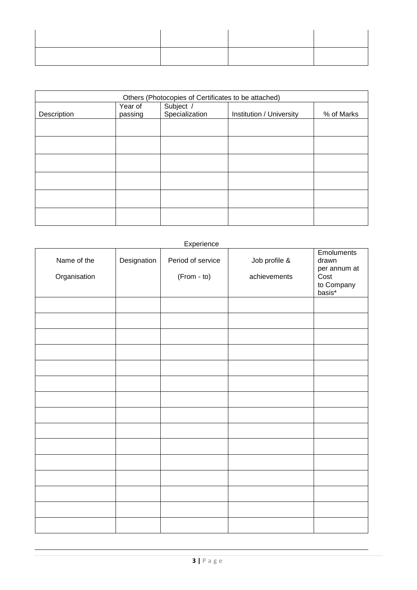| Others (Photocopies of Certificates to be attached) |                                                                                             |  |  |  |  |  |
|-----------------------------------------------------|---------------------------------------------------------------------------------------------|--|--|--|--|--|
| Description                                         | Subject /<br>Year of<br>Specialization<br>Institution / University<br>% of Marks<br>passing |  |  |  |  |  |
|                                                     |                                                                                             |  |  |  |  |  |
|                                                     |                                                                                             |  |  |  |  |  |
|                                                     |                                                                                             |  |  |  |  |  |
|                                                     |                                                                                             |  |  |  |  |  |
|                                                     |                                                                                             |  |  |  |  |  |
|                                                     |                                                                                             |  |  |  |  |  |
|                                                     |                                                                                             |  |  |  |  |  |
|                                                     |                                                                                             |  |  |  |  |  |

## Experience

| Name of the<br>Organisation | Designation | Period of service<br>(From - to) | Job profile &<br>achievements | Emoluments<br>drawn<br>per annum at<br>Cost<br>to Company<br>basis* |
|-----------------------------|-------------|----------------------------------|-------------------------------|---------------------------------------------------------------------|
|                             |             |                                  |                               |                                                                     |
|                             |             |                                  |                               |                                                                     |
|                             |             |                                  |                               |                                                                     |
|                             |             |                                  |                               |                                                                     |
|                             |             |                                  |                               |                                                                     |
|                             |             |                                  |                               |                                                                     |
|                             |             |                                  |                               |                                                                     |
|                             |             |                                  |                               |                                                                     |
|                             |             |                                  |                               |                                                                     |
|                             |             |                                  |                               |                                                                     |
|                             |             |                                  |                               |                                                                     |
|                             |             |                                  |                               |                                                                     |
|                             |             |                                  |                               |                                                                     |
|                             |             |                                  |                               |                                                                     |
|                             |             |                                  |                               |                                                                     |